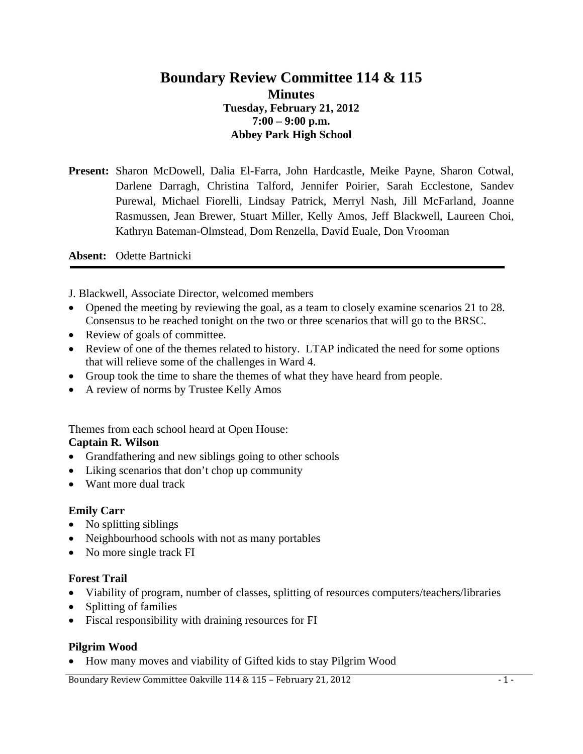# **Boundary Review Committee 114 & 115 Minutes Tuesday, February 21, 2012 7:00 – 9:00 p.m. Abbey Park High School**

**Present:** Sharon McDowell, Dalia El-Farra, John Hardcastle, Meike Payne, Sharon Cotwal, Darlene Darragh, Christina Talford, Jennifer Poirier, Sarah Ecclestone, Sandev Purewal, Michael Fiorelli, Lindsay Patrick, Merryl Nash, Jill McFarland, Joanne Rasmussen, Jean Brewer, Stuart Miller, Kelly Amos, Jeff Blackwell, Laureen Choi, Kathryn Bateman-Olmstead, Dom Renzella, David Euale, Don Vrooman

**Absent:** Odette Bartnicki

J. Blackwell, Associate Director, welcomed members

- Opened the meeting by reviewing the goal, as a team to closely examine scenarios 21 to 28. Consensus to be reached tonight on the two or three scenarios that will go to the BRSC.
- Review of goals of committee.
- Review of one of the themes related to history. LTAP indicated the need for some options that will relieve some of the challenges in Ward 4.
- Group took the time to share the themes of what they have heard from people.
- A review of norms by Trustee Kelly Amos

Themes from each school heard at Open House:

#### **Captain R. Wilson**

- Grandfathering and new siblings going to other schools
- Liking scenarios that don't chop up community
- Want more dual track

## **Emily Carr**

- No splitting siblings
- Neighbourhood schools with not as many portables
- No more single track FI

#### **Forest Trail**

- Viability of program, number of classes, splitting of resources computers/teachers/libraries
- Splitting of families
- Fiscal responsibility with draining resources for FI

## **Pilgrim Wood**

• How many moves and viability of Gifted kids to stay Pilgrim Wood

Boundary Review Committee Oakville 114 & 115 – February 21, 2012 **1998** - 1 -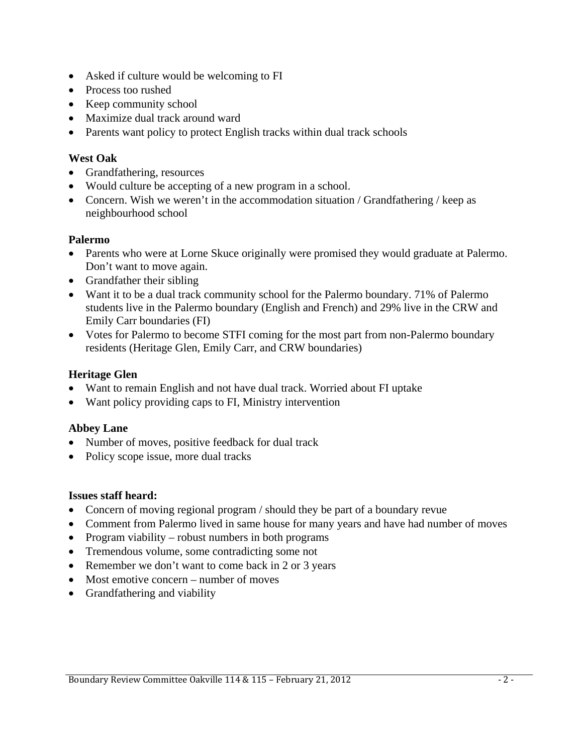- Asked if culture would be welcoming to FI
- Process too rushed
- Keep community school
- Maximize dual track around ward
- Parents want policy to protect English tracks within dual track schools

# **West Oak**

- Grandfathering, resources
- Would culture be accepting of a new program in a school.
- Concern. Wish we weren't in the accommodation situation / Grandfathering / keep as neighbourhood school

## **Palermo**

- Parents who were at Lorne Skuce originally were promised they would graduate at Palermo. Don't want to move again.
- Grandfather their sibling
- Want it to be a dual track community school for the Palermo boundary. 71% of Palermo students live in the Palermo boundary (English and French) and 29% live in the CRW and Emily Carr boundaries (FI)
- Votes for Palermo to become STFI coming for the most part from non-Palermo boundary residents (Heritage Glen, Emily Carr, and CRW boundaries)

# **Heritage Glen**

- Want to remain English and not have dual track. Worried about FI uptake
- Want policy providing caps to FI, Ministry intervention

## **Abbey Lane**

- Number of moves, positive feedback for dual track
- Policy scope issue, more dual tracks

## **Issues staff heard:**

- Concern of moving regional program / should they be part of a boundary revue
- Comment from Palermo lived in same house for many years and have had number of moves
- Program viability robust numbers in both programs
- Tremendous volume, some contradicting some not
- Remember we don't want to come back in 2 or 3 years
- Most emotive concern number of moves
- Grandfathering and viability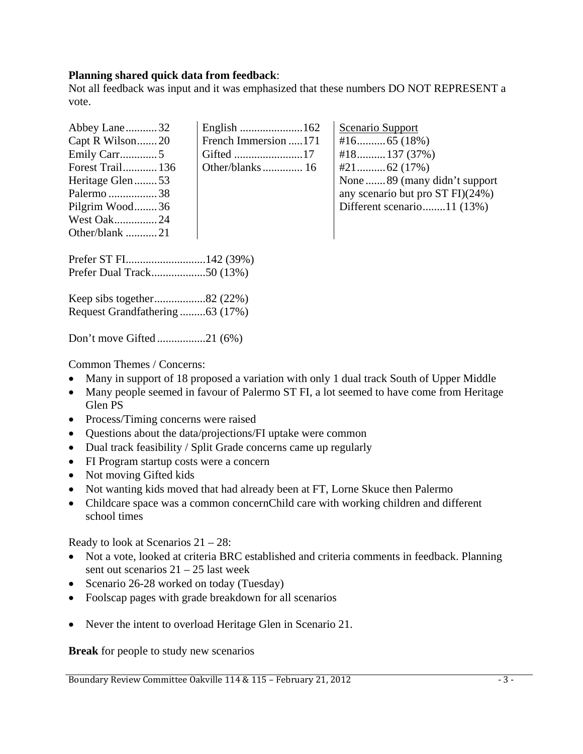#### **Planning shared quick data from feedback**:

Not all feedback was input and it was emphasized that these numbers DO NOT REPRESENT a vote.

| Abbey Lane32<br>Capt R Wilson20<br>Emily Carr5<br><b>Forest Trail 136</b><br>Heritage Glen53<br>Palermo 38<br>Pilgrim Wood36<br><b>West Oak24</b><br>Other/blank 21 | French Immersion 171 | Scenario Support<br>$#18$ 137 (37%)<br>None  89 (many didn't support<br>any scenario but pro ST FI)(24%)<br>Different scenario11 (13%) |
|---------------------------------------------------------------------------------------------------------------------------------------------------------------------|----------------------|----------------------------------------------------------------------------------------------------------------------------------------|
|---------------------------------------------------------------------------------------------------------------------------------------------------------------------|----------------------|----------------------------------------------------------------------------------------------------------------------------------------|

Prefer ST FI............................142 (39%) Prefer Dual Track...................50 (13%)

Keep sibs together..................82 (22%) Request Grandfathering .........63 (17%)

Don't move Gifted .................21 (6%)

Common Themes / Concerns:

- Many in support of 18 proposed a variation with only 1 dual track South of Upper Middle
- Many people seemed in favour of Palermo ST FI, a lot seemed to have come from Heritage Glen PS
- Process/Timing concerns were raised
- Questions about the data/projections/FI uptake were common
- Dual track feasibility / Split Grade concerns came up regularly
- FI Program startup costs were a concern
- Not moving Gifted kids
- Not wanting kids moved that had already been at FT, Lorne Skuce then Palermo
- Childcare space was a common concernChild care with working children and different school times

Ready to look at Scenarios 21 – 28:

- Not a vote, looked at criteria BRC established and criteria comments in feedback. Planning sent out scenarios  $21 - 25$  last week
- Scenario 26-28 worked on today (Tuesday)
- Foolscap pages with grade breakdown for all scenarios
- Never the intent to overload Heritage Glen in Scenario 21.

**Break** for people to study new scenarios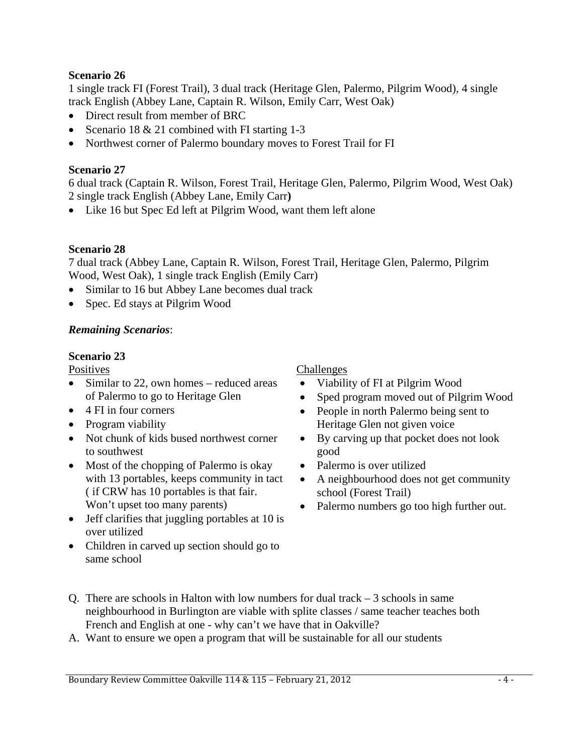## **Scenario 26**

1 single track FI (Forest Trail), 3 dual track (Heritage Glen, Palermo, Pilgrim Wood), 4 single track English (Abbey Lane, Captain R. Wilson, Emily Carr, West Oak)

- Direct result from member of BRC
- Scenario 18 & 21 combined with FI starting 1-3
- Northwest corner of Palermo boundary moves to Forest Trail for FI

## **Scenario 27**

6 dual track (Captain R. Wilson, Forest Trail, Heritage Glen, Palermo, Pilgrim Wood, West Oak) 2 single track English (Abbey Lane, Emily Carr**)** 

• Like 16 but Spec Ed left at Pilgrim Wood, want them left alone

#### **Scenario 28**

7 dual track (Abbey Lane, Captain R. Wilson, Forest Trail, Heritage Glen, Palermo, Pilgrim Wood, West Oak), 1 single track English (Emily Carr)

- Similar to 16 but Abbey Lane becomes dual track
- Spec. Ed stays at Pilgrim Wood

# *Remaining Scenarios*:

## **Scenario 23**

**Positives** 

- Similar to 22, own homes reduced areas of Palermo to go to Heritage Glen
- 4 FI in four corners
- Program viability
- Not chunk of kids bused northwest corner to southwest
- Most of the chopping of Palermo is okay with 13 portables, keeps community in tact ( if CRW has 10 portables is that fair. Won't upset too many parents)
- Jeff clarifies that juggling portables at 10 is over utilized
- Children in carved up section should go to same school

# Challenges

- Viability of FI at Pilgrim Wood
- Sped program moved out of Pilgrim Wood
- People in north Palermo being sent to Heritage Glen not given voice
- By carving up that pocket does not look good
- Palermo is over utilized
- A neighbourhood does not get community school (Forest Trail)
- Palermo numbers go too high further out.

- Q. There are schools in Halton with low numbers for dual track  $-3$  schools in same neighbourhood in Burlington are viable with splite classes / same teacher teaches both French and English at one - why can't we have that in Oakville?
- A. Want to ensure we open a program that will be sustainable for all our students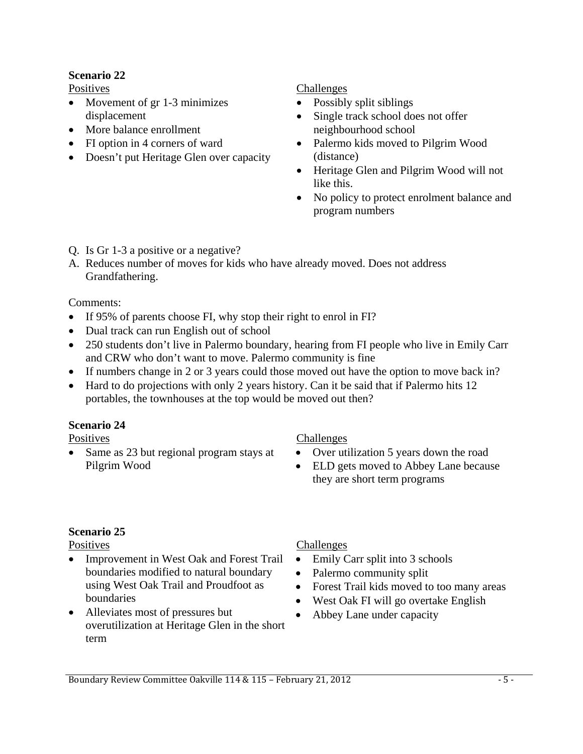# **Scenario 22**

Positives

- Movement of gr 1-3 minimizes displacement
- More balance enrollment
- FI option in 4 corners of ward
- Doesn't put Heritage Glen over capacity

# Challenges

- Possibly split siblings
- Single track school does not offer neighbourhood school
- Palermo kids moved to Pilgrim Wood (distance)
- Heritage Glen and Pilgrim Wood will not like this.
- No policy to protect enrolment balance and program numbers
- Q. Is Gr 1-3 a positive or a negative?
- A. Reduces number of moves for kids who have already moved. Does not address Grandfathering.

# Comments:

- If 95% of parents choose FI, why stop their right to enrol in FI?
- Dual track can run English out of school
- 250 students don't live in Palermo boundary, hearing from FI people who live in Emily Carr and CRW who don't want to move. Palermo community is fine
- If numbers change in 2 or 3 years could those moved out have the option to move back in?
- Hard to do projections with only 2 years history. Can it be said that if Palermo hits 12 portables, the townhouses at the top would be moved out then?

# **Scenario 24**

**Positives** 

• Same as 23 but regional program stays at Pilgrim Wood

# Challenges

- Over utilization 5 years down the road
- ELD gets moved to Abbey Lane because they are short term programs

# **Scenario 25**

**Positives** 

- Improvement in West Oak and Forest Trail boundaries modified to natural boundary using West Oak Trail and Proudfoot as boundaries
- Alleviates most of pressures but overutilization at Heritage Glen in the short term

# Challenges

- Emily Carr split into 3 schools
- Palermo community split
- Forest Trail kids moved to too many areas
- West Oak FI will go overtake English
- Abbey Lane under capacity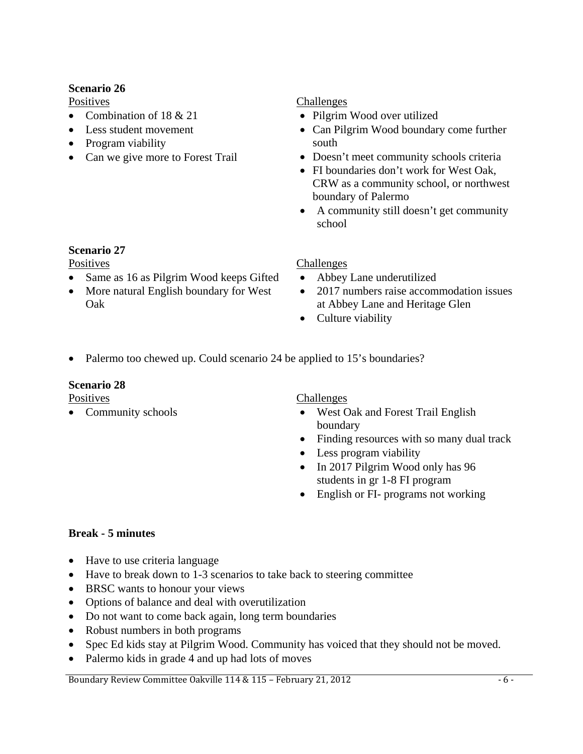# **Scenario 26**

**Positives** 

- Combination of 18 & 21
- Less student movement
- Program viability
- Can we give more to Forest Trail

#### Challenges

- Pilgrim Wood over utilized
- Can Pilgrim Wood boundary come further south
- Doesn't meet community schools criteria
- FI boundaries don't work for West Oak, CRW as a community school, or northwest boundary of Palermo
- A community still doesn't get community school

# **Scenario 27**

**Positives** 

- Same as 16 as Pilgrim Wood keeps Gifted
- More natural English boundary for West Oak

## Challenges

- Abbey Lane underutilized
- 2017 numbers raise accommodation issues at Abbey Lane and Heritage Glen
- Culture viability
- Palermo too chewed up. Could scenario 24 be applied to 15's boundaries?

## **Scenario 28**

Positives

• Community schools

Challenges

- West Oak and Forest Trail English boundary
- Finding resources with so many dual track
- Less program viability
- In 2017 Pilgrim Wood only has 96 students in gr 1-8 FI program
- English or FI- programs not working

# **Break - 5 minutes**

- Have to use criteria language
- Have to break down to 1-3 scenarios to take back to steering committee
- BRSC wants to honour your views
- Options of balance and deal with overutilization
- Do not want to come back again, long term boundaries
- Robust numbers in both programs
- Spec Ed kids stay at Pilgrim Wood. Community has voiced that they should not be moved.
- Palermo kids in grade 4 and up had lots of moves

Boundary Review Committee Oakville 114 & 115 – February 21, 2012 - 1998 - 6 - 1999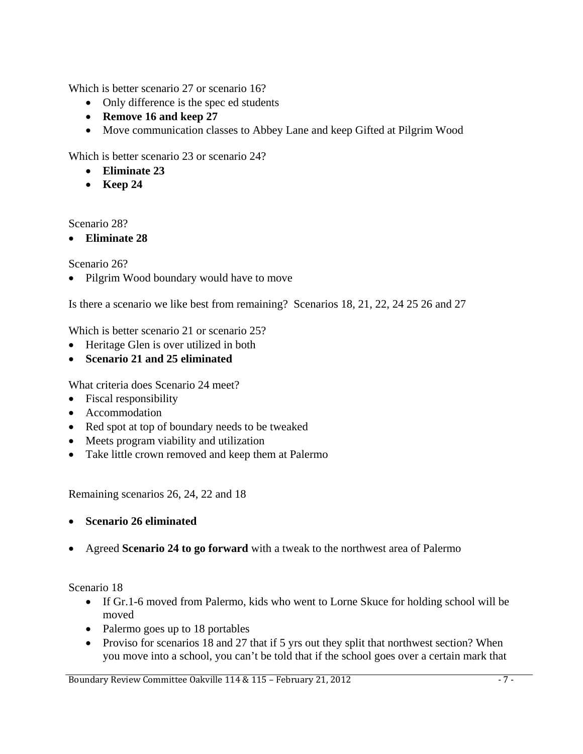Which is better scenario 27 or scenario 16?

- Only difference is the spec ed students
- **Remove 16 and keep 27**
- Move communication classes to Abbey Lane and keep Gifted at Pilgrim Wood

Which is better scenario 23 or scenario 24?

- **Eliminate 23**
- **Keep 24**

Scenario 28?

• **Eliminate 28**

Scenario 26?

• Pilgrim Wood boundary would have to move

Is there a scenario we like best from remaining? Scenarios 18, 21, 22, 24 25 26 and 27

Which is better scenario 21 or scenario 25?

- Heritage Glen is over utilized in both
- **Scenario 21 and 25 eliminated**

What criteria does Scenario 24 meet?

- Fiscal responsibility
- Accommodation
- Red spot at top of boundary needs to be tweaked
- Meets program viability and utilization
- Take little crown removed and keep them at Palermo

Remaining scenarios 26, 24, 22 and 18

- **Scenario 26 eliminated**
- Agreed **Scenario 24 to go forward** with a tweak to the northwest area of Palermo

Scenario 18

- If Gr.1-6 moved from Palermo, kids who went to Lorne Skuce for holding school will be moved
- Palermo goes up to 18 portables
- Proviso for scenarios 18 and 27 that if 5 yrs out they split that northwest section? When you move into a school, you can't be told that if the school goes over a certain mark that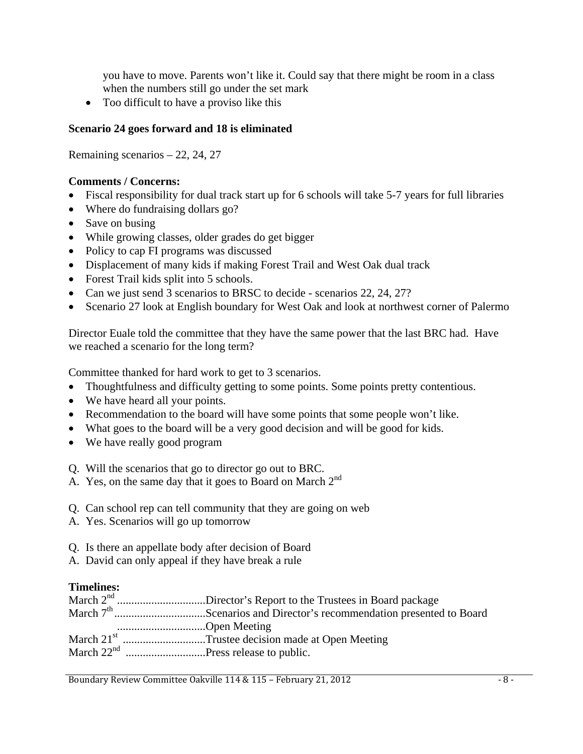you have to move. Parents won't like it. Could say that there might be room in a class when the numbers still go under the set mark

• Too difficult to have a proviso like this

# **Scenario 24 goes forward and 18 is eliminated**

Remaining scenarios – 22, 24, 27

# **Comments / Concerns:**

- Fiscal responsibility for dual track start up for 6 schools will take 5-7 years for full libraries
- Where do fundraising dollars go?
- Save on busing
- While growing classes, older grades do get bigger
- Policy to cap FI programs was discussed
- Displacement of many kids if making Forest Trail and West Oak dual track
- Forest Trail kids split into 5 schools.
- Can we just send 3 scenarios to BRSC to decide scenarios 22, 24, 27?
- Scenario 27 look at English boundary for West Oak and look at northwest corner of Palermo

Director Euale told the committee that they have the same power that the last BRC had. Have we reached a scenario for the long term?

Committee thanked for hard work to get to 3 scenarios.

- Thoughtfulness and difficulty getting to some points. Some points pretty contentious.
- We have heard all your points.
- Recommendation to the board will have some points that some people won't like.
- What goes to the board will be a very good decision and will be good for kids.
- We have really good program
- Q. Will the scenarios that go to director go out to BRC.
- A. Yes, on the same day that it goes to Board on March  $2<sup>nd</sup>$
- Q. Can school rep can tell community that they are going on web
- A. Yes. Scenarios will go up tomorrow
- Q. Is there an appellate body after decision of Board
- A. David can only appeal if they have break a rule

# **Timelines:**

|              | March 2 <sup>nd</sup> Director's Report to the Trustees in Board package         |
|--------------|----------------------------------------------------------------------------------|
|              | March 7 <sup>th</sup> Scenarios and Director's recommendation presented to Board |
| Open Meeting |                                                                                  |
|              | March 21 <sup>st</sup> Trustee decision made at Open Meeting                     |
|              |                                                                                  |